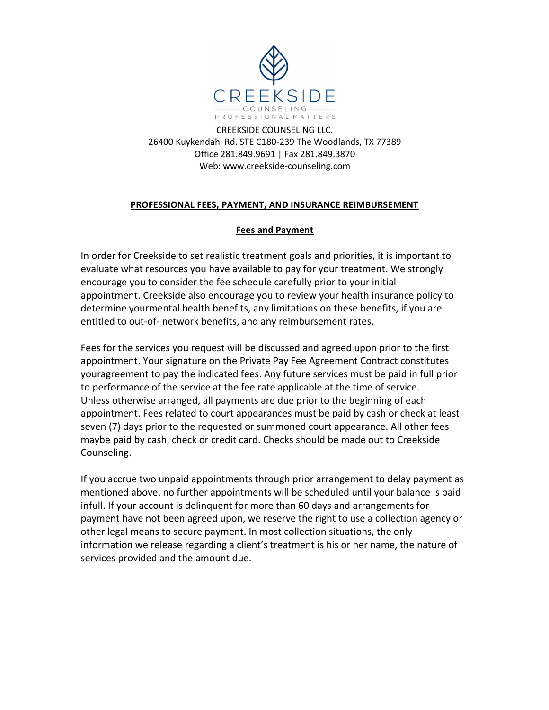

CREEKSIDE COUNSELING LLC. 26400 Kuykendahl Rd. STE C180-239 The Woodlands, TX 77389 Office 281.849.9691 | Fax 281.849.3870 Web: www.creekside-counseling.com

# **PROFESSIONAL FEES, PAYMENT, AND INSURANCE REIMBURSEMENT**

# **Fees and Payment**

In order for Creekside to set realistic treatment goals and priorities, it is important to evaluate what resources you have available to pay for your treatment. We strongly encourage you to consider the fee schedule carefully prior to your initial appointment. Creekside also encourage you to review your health insurance policy to determine yourmental health benefits, any limitations on these benefits, if you are entitled to out-of- network benefits, and any reimbursement rates.

Fees for the services you request will be discussed and agreed upon prior to the first appointment. Your signature on the Private Pay Fee Agreement Contract constitutes youragreement to pay the indicated fees. Any future services must be paid in full prior to performance of the service at the fee rate applicable at the time of service. Unless otherwise arranged, all payments are due prior to the beginning of each appointment. Fees related to court appearances must be paid by cash or check at least seven (7) days prior to the requested or summoned court appearance. All other fees maybe paid by cash, check or credit card. Checks should be made out to Creekside Counseling.

If you accrue two unpaid appointments through prior arrangement to delay payment as mentioned above, no further appointments will be scheduled until your balance is paid infull. If your account is delinquent for more than 60 days and arrangements for payment have not been agreed upon, we reserve the right to use a collection agency or other legal means to secure payment. In most collection situations, the only information we release regarding a client's treatment is his or her name, the nature of services provided and the amount due.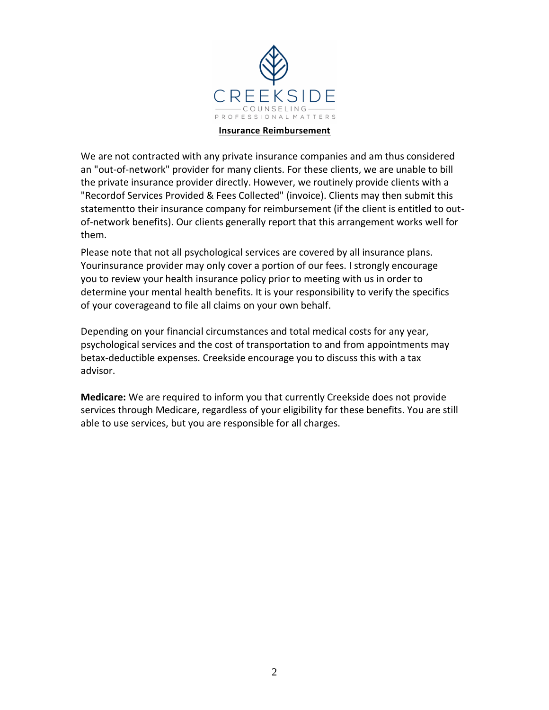

### **Insurance Reimbursement**

We are not contracted with any private insurance companies and am thus considered an "out-of-network" provider for many clients. For these clients, we are unable to bill the private insurance provider directly. However, we routinely provide clients with a "Recordof Services Provided & Fees Collected" (invoice). Clients may then submit this statementto their insurance company for reimbursement (if the client is entitled to outof-network benefits). Our clients generally report that this arrangement works well for them.

Please note that not all psychological services are covered by all insurance plans. Yourinsurance provider may only cover a portion of our fees. I strongly encourage you to review your health insurance policy prior to meeting with us in order to determine your mental health benefits. It is your responsibility to verify the specifics of your coverageand to file all claims on your own behalf.

Depending on your financial circumstances and total medical costs for any year, psychological services and the cost of transportation to and from appointments may betax-deductible expenses. Creekside encourage you to discuss this with a tax advisor.

**Medicare:** We are required to inform you that currently Creekside does not provide services through Medicare, regardless of your eligibility for these benefits. You are still able to use services, but you are responsible for all charges.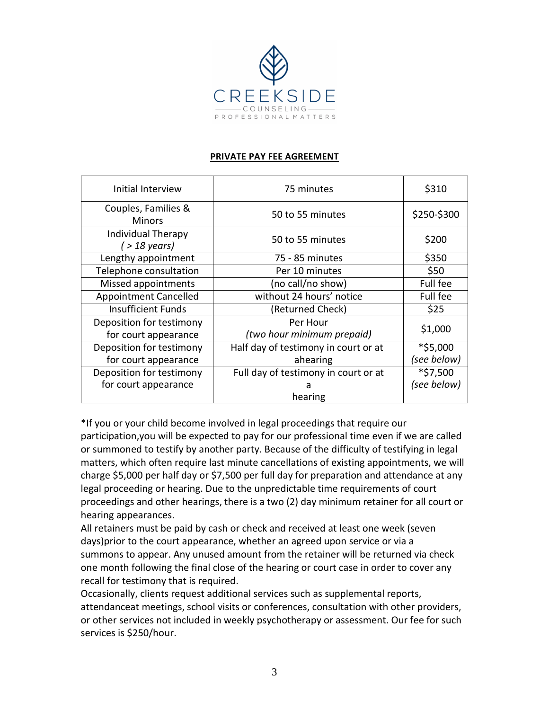

## **PRIVATE PAY FEE AGREEMENT**

| Initial Interview                    | 75 minutes                             | \$310       |
|--------------------------------------|----------------------------------------|-------------|
| Couples, Families &<br><b>Minors</b> | 50 to 55 minutes                       | \$250-\$300 |
| Individual Therapy<br>(> 18 years)   | 50 to 55 minutes                       | \$200       |
| Lengthy appointment                  | 75 - 85 minutes                        | \$350       |
| Telephone consultation               | Per 10 minutes                         | \$50        |
| Missed appointments                  | (no call/no show)                      | Full fee    |
| <b>Appointment Cancelled</b>         | without 24 hours' notice               | Full fee    |
| <b>Insufficient Funds</b>            | (Returned Check)                       | \$25        |
| Deposition for testimony             | Per Hour<br>(two hour minimum prepaid) | \$1,000     |
| for court appearance                 |                                        |             |
| Deposition for testimony             | Half day of testimony in court or at   | *\$5,000    |
| for court appearance                 | ahearing                               | (see below) |
| Deposition for testimony             | Full day of testimony in court or at   | *\$7,500    |
| for court appearance                 | а                                      | (see below) |
|                                      | hearing                                |             |

\*If you or your child become involved in legal proceedings that require our participation,you will be expected to pay for our professional time even if we are called or summoned to testify by another party. Because of the difficulty of testifying in legal matters, which often require last minute cancellations of existing appointments, we will charge \$5,000 per half day or \$7,500 per full day for preparation and attendance at any legal proceeding or hearing. Due to the unpredictable time requirements of court proceedings and other hearings, there is a two (2) day minimum retainer for all court or hearing appearances.

All retainers must be paid by cash or check and received at least one week (seven days)prior to the court appearance, whether an agreed upon service or via a summons to appear. Any unused amount from the retainer will be returned via check one month following the final close of the hearing or court case in order to cover any recall for testimony that is required.

Occasionally, clients request additional services such as supplemental reports, attendanceat meetings, school visits or conferences, consultation with other providers, or other services not included in weekly psychotherapy or assessment. Our fee for such services is \$250/hour.